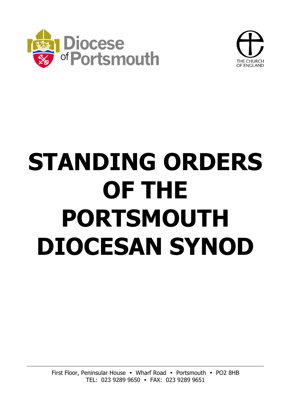



# **STANDING ORDERS OF THE PORTSMOUTH DIOCESAN SYNOD**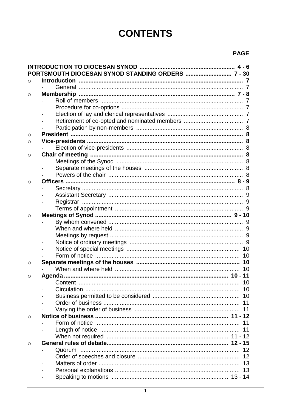# **CONTENTS**

|         | PORTSMOUTH DIOCESAN SYNOD STANDING ORDERS  7 - 30 |    |
|---------|---------------------------------------------------|----|
| O       |                                                   |    |
|         |                                                   | 7  |
| $\circ$ |                                                   |    |
|         |                                                   |    |
|         |                                                   |    |
|         |                                                   |    |
|         |                                                   |    |
|         |                                                   |    |
| $\circ$ |                                                   |    |
| O       |                                                   |    |
|         |                                                   |    |
| $\circ$ |                                                   |    |
|         |                                                   |    |
|         |                                                   |    |
|         |                                                   |    |
| $\circ$ |                                                   |    |
|         |                                                   |    |
|         |                                                   |    |
|         |                                                   |    |
|         |                                                   |    |
| $\circ$ |                                                   |    |
|         |                                                   |    |
|         |                                                   |    |
|         |                                                   |    |
|         |                                                   |    |
|         |                                                   |    |
|         |                                                   | 10 |
| O       |                                                   | 10 |
|         |                                                   | 10 |
| O       |                                                   |    |
|         |                                                   | 10 |
|         |                                                   | 10 |
|         |                                                   |    |
|         |                                                   | 11 |
|         |                                                   | 11 |
| $\circ$ |                                                   |    |
|         |                                                   |    |
|         |                                                   | 11 |
|         |                                                   |    |
|         |                                                   |    |
| $\circ$ |                                                   | 12 |
|         |                                                   | 12 |
|         |                                                   |    |
|         |                                                   | 13 |
|         |                                                   | 13 |
|         |                                                   |    |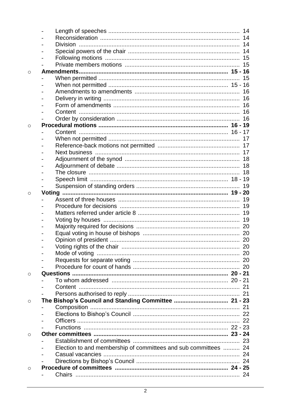|         |                                                                 | 14 |
|---------|-----------------------------------------------------------------|----|
|         |                                                                 | 14 |
|         |                                                                 |    |
|         |                                                                 |    |
|         |                                                                 |    |
|         |                                                                 |    |
| $\circ$ |                                                                 |    |
|         |                                                                 | 15 |
|         |                                                                 |    |
|         |                                                                 | 16 |
|         |                                                                 |    |
|         |                                                                 |    |
|         |                                                                 |    |
|         |                                                                 |    |
| $\circ$ |                                                                 |    |
|         |                                                                 |    |
|         |                                                                 | 17 |
|         |                                                                 |    |
|         |                                                                 |    |
|         |                                                                 |    |
|         |                                                                 | 18 |
|         |                                                                 | 18 |
|         |                                                                 |    |
|         |                                                                 |    |
| $\circ$ |                                                                 |    |
|         |                                                                 | 19 |
|         |                                                                 |    |
|         |                                                                 |    |
|         |                                                                 |    |
|         |                                                                 |    |
|         |                                                                 |    |
|         |                                                                 |    |
|         |                                                                 |    |
|         |                                                                 |    |
|         |                                                                 |    |
| O       | Questions                                                       |    |
|         |                                                                 |    |
|         |                                                                 | 21 |
|         |                                                                 |    |
| O       |                                                                 |    |
|         |                                                                 |    |
|         |                                                                 |    |
|         |                                                                 | 22 |
|         |                                                                 |    |
| $\circ$ |                                                                 |    |
|         |                                                                 | 23 |
|         | Election to and membership of committees and sub committees  24 |    |
|         |                                                                 |    |
|         |                                                                 | 24 |
| $\circ$ |                                                                 |    |
|         |                                                                 |    |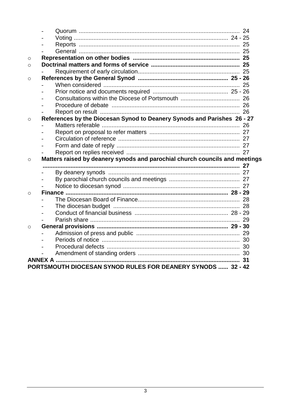| $\circ$ |                                                                             |    |
|---------|-----------------------------------------------------------------------------|----|
| $\circ$ |                                                                             |    |
|         |                                                                             |    |
| $\circ$ |                                                                             |    |
|         |                                                                             |    |
|         |                                                                             |    |
|         |                                                                             |    |
|         |                                                                             |    |
|         |                                                                             |    |
| $\circ$ | References by the Diocesan Synod to Deanery Synods and Parishes 26 - 27     |    |
|         |                                                                             |    |
|         |                                                                             |    |
|         |                                                                             |    |
|         |                                                                             |    |
|         |                                                                             |    |
| $\circ$ | Matters raised by deanery synods and parochial church councils and meetings |    |
|         |                                                                             |    |
|         |                                                                             |    |
|         |                                                                             |    |
|         |                                                                             |    |
| $\circ$ | <b>Finance </b>                                                             |    |
|         |                                                                             |    |
|         |                                                                             | 28 |
|         |                                                                             |    |
|         |                                                                             | 29 |
| $\circ$ |                                                                             |    |
|         |                                                                             |    |
|         |                                                                             |    |
|         |                                                                             |    |
|         |                                                                             |    |
|         |                                                                             |    |
|         | PORTSMOUTH DIOCESAN SYNOD RULES FOR DEANERY SYNODS  32 - 42                 |    |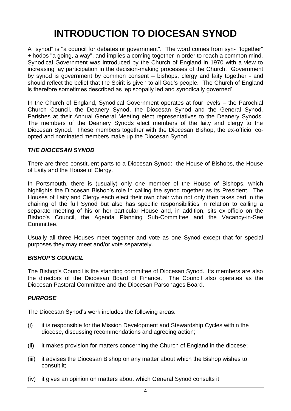# **INTRODUCTION TO DIOCESAN SYNOD**

A "synod" is "a council for debates or government". The word comes from syn- "together" + hodos "a going, a way", and implies a coming together in order to reach a common mind. Synodical Government was introduced by the Church of England in 1970 with a view to increasing lay participation in the decision-making processes of the Church. Government by synod is government by common consent – bishops, clergy and laity together - and should reflect the belief that the Spirit is given to all God's people. The Church of England is therefore sometimes described as 'episcopally led and synodically governed'.

In the Church of England, Synodical Government operates at four levels – the Parochial Church Council, the Deanery Synod, the Diocesan Synod and the General Synod. Parishes at their Annual General Meeting elect representatives to the Deanery Synods. The members of the Deanery Synods elect members of the laity and clergy to the Diocesan Synod. These members together with the Diocesan Bishop, the ex-officio, coopted and nominated members make up the Diocesan Synod.

#### *THE DIOCESAN SYNOD*

There are three constituent parts to a Diocesan Synod: the House of Bishops, the House of Laity and the House of Clergy.

In Portsmouth, there is (usually) only one member of the House of Bishops, which highlights the Diocesan Bishop's role in calling the synod together as its President. The Houses of Laity and Clergy each elect their own chair who not only then takes part in the chairing of the full Synod but also has specific responsibilities in relation to calling a separate meeting of his or her particular House and, in addition, sits ex-officio on the Bishop's Council, the Agenda Planning Sub-Committee and the Vacancy-in-See Committee.

Usually all three Houses meet together and vote as one Synod except that for special purposes they may meet and/or vote separately.

#### *BISHOP'S COUNCIL*

The Bishop's Council is the standing committee of Diocesan Synod. Its members are also the directors of the Diocesan Board of Finance. The Council also operates as the Diocesan Pastoral Committee and the Diocesan Parsonages Board.

#### *PURPOSE*

The Diocesan Synod's work includes the following areas:

- (i) it is responsible for the Mission Development and Stewardship Cycles within the diocese, discussing recommendations and agreeing action;
- (ii) it makes provision for matters concerning the Church of England in the diocese;
- (iii) it advises the Diocesan Bishop on any matter about which the Bishop wishes to consult it;
- (iv) it gives an opinion on matters about which General Synod consults it;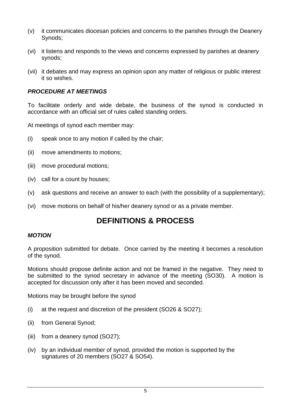- (v) it communicates diocesan policies and concerns to the parishes through the Deanery Synods;
- (vi) it listens and responds to the views and concerns expressed by parishes at deanery synods;
- (vii) it debates and may express an opinion upon any matter of religious or public interest it so wishes.

#### *PROCEDURE AT MEETINGS*

To facilitate orderly and wide debate, the business of the synod is conducted in accordance with an official set of rules called standing orders.

At meetings of synod each member may:

- (i) speak once to any motion if called by the chair;
- (ii) move amendments to motions;
- (iii) move procedural motions;
- (iv) call for a count by houses;
- (v) ask questions and receive an answer to each (with the possibility of a supplementary);
- (vi) move motions on behalf of his/her deanery synod or as a private member.

## **DEFINITIONS & PROCESS**

#### *MOTION*

A proposition submitted for debate. Once carried by the meeting it becomes a resolution of the synod.

Motions should propose definite action and not be framed in the negative. They need to be submitted to the synod secretary in advance of the meeting (SO30). A motion is accepted for discussion only after it has been moved and seconded.

Motions may be brought before the synod

- (i) at the request and discretion of the president (SO26 & SO27);
- (ii) from General Synod;
- (iii) from a deanery synod (SO27);
- (iv) by an individual member of synod, provided the motion is supported by the signatures of 20 members (SO27 & SO54).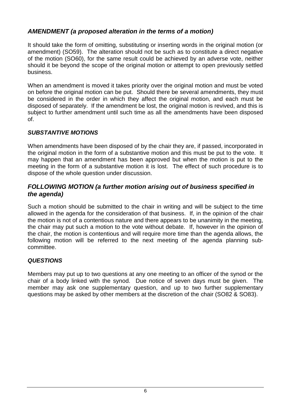#### *AMENDMENT (a proposed alteration in the terms of a motion)*

It should take the form of omitting, substituting or inserting words in the original motion (or amendment) (SO59). The alteration should not be such as to constitute a direct negative of the motion (SO60), for the same result could be achieved by an adverse vote, neither should it be beyond the scope of the original motion or attempt to open previously settled business.

When an amendment is moved it takes priority over the original motion and must be voted on before the original motion can be put. Should there be several amendments, they must be considered in the order in which they affect the original motion, and each must be disposed of separately. If the amendment be lost, the original motion is revived, and this is subject to further amendment until such time as all the amendments have been disposed of.

#### *SUBSTANTIVE MOTIONS*

When amendments have been disposed of by the chair they are, if passed, incorporated in the original motion in the form of a substantive motion and this must be put to the vote. It may happen that an amendment has been approved but when the motion is put to the meeting in the form of a substantive motion it is lost. The effect of such procedure is to dispose of the whole question under discussion.

#### *FOLLOWING MOTION (a further motion arising out of business specified in the agenda)*

Such a motion should be submitted to the chair in writing and will be subject to the time allowed in the agenda for the consideration of that business. If, in the opinion of the chair the motion is not of a contentious nature and there appears to be unanimity in the meeting, the chair may put such a motion to the vote without debate. If, however in the opinion of the chair, the motion is contentious and will require more time than the agenda allows, the following motion will be referred to the next meeting of the agenda planning subcommittee.

#### *QUESTIONS*

Members may put up to two questions at any one meeting to an officer of the synod or the chair of a body linked with the synod. Due notice of seven days must be given. The member may ask one supplementary question, and up to two further supplementary questions may be asked by other members at the discretion of the chair (SO82 & SO83).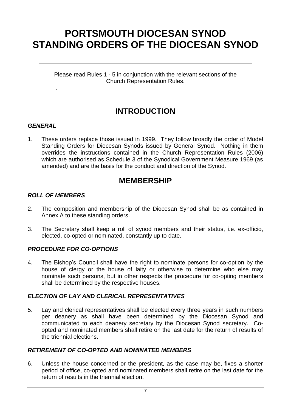# **PORTSMOUTH DIOCESAN SYNOD STANDING ORDERS OF THE DIOCESAN SYNOD**

Please read Rules 1 - 5 in conjunction with the relevant sections of the Church Representation Rules.

## **INTRODUCTION**

#### *GENERAL*

.

1. These orders replace those issued in 1999. They follow broadly the order of Model Standing Orders for Diocesan Synods issued by General Synod. Nothing in them overrides the instructions contained in the Church Representation Rules (2006) which are authorised as Schedule 3 of the Synodical Government Measure 1969 (as amended) and are the basis for the conduct and direction of the Synod.

### **MEMBERSHIP**

#### *ROLL OF MEMBERS*

- 2. The composition and membership of the Diocesan Synod shall be as contained in Annex A to these standing orders.
- 3. The Secretary shall keep a roll of synod members and their status, i.e. ex-officio, elected, co-opted or nominated, constantly up to date.

#### *PROCEDURE FOR CO-OPTIONS*

4. The Bishop's Council shall have the right to nominate persons for co-option by the house of clergy or the house of laity or otherwise to determine who else may nominate such persons, but in other respects the procedure for co-opting members shall be determined by the respective houses.

#### *ELECTION OF LAY AND CLERICAL REPRESENTATIVES*

5. Lay and clerical representatives shall be elected every three years in such numbers per deanery as shall have been determined by the Diocesan Synod and communicated to each deanery secretary by the Diocesan Synod secretary. Coopted and nominated members shall retire on the last date for the return of results of the triennial elections.

#### *RETIREMENT OF CO-OPTED AND NOMINATED MEMBERS*

6. Unless the house concerned or the president, as the case may be, fixes a shorter period of office, co-opted and nominated members shall retire on the last date for the return of results in the triennial election.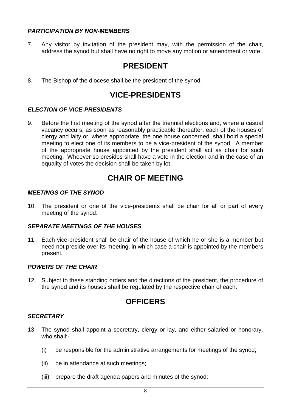#### *PARTICIPATION BY NON-MEMBERS*

7. Any visitor by invitation of the president may, with the permission of the chair, address the synod but shall have no right to move any motion or amendment or vote.

## **PRESIDENT**

8. The Bishop of the diocese shall be the president of the synod.

## **VICE-PRESIDENTS**

#### *ELECTION OF VICE-PRESIDENTS*

9. Before the first meeting of the synod after the triennial elections and, where a casual vacancy occurs, as soon as reasonably practicable thereafter, each of the houses of clergy and laity or, where appropriate, the one house concerned, shall hold a special meeting to elect one of its members to be a vice-president of the synod. A member of the appropriate house appointed by the president shall act as chair for such meeting. Whoever so presides shall have a vote in the election and in the case of an equality of votes the decision shall be taken by lot.

## **CHAIR OF MEETING**

#### *MEETINGS OF THE SYNOD*

10. The president or one of the vice-presidents shall be chair for all or part of every meeting of the synod.

#### *SEPARATE MEETINGS OF THE HOUSES*

11. Each vice-president shall be chair of the house of which he or she is a member but need not preside over its meeting, in which case a chair is appointed by the members present.

#### *POWERS OF THE CHAIR*

12. Subject to these standing orders and the directions of the president, the procedure of the synod and its houses shall be regulated by the respective chair of each.

## **OFFICERS**

#### *SECRETARY*

- 13. The synod shall appoint a secretary, clergy or lay, and either salaried or honorary, who shall:-
	- (i) be responsible for the administrative arrangements for meetings of the synod;
	- (ii) be in attendance at such meetings;
	- (iii) prepare the draft agenda papers and minutes of the synod;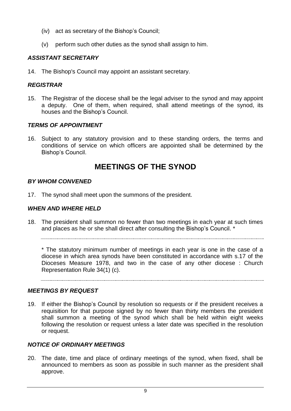- (iv) act as secretary of the Bishop's Council;
- (v) perform such other duties as the synod shall assign to him.

#### *ASSISTANT SECRETARY*

14. The Bishop's Council may appoint an assistant secretary.

#### *REGISTRAR*

15. The Registrar of the diocese shall be the legal adviser to the synod and may appoint a deputy. One of them, when required, shall attend meetings of the synod, its houses and the Bishop's Council.

#### *TERMS OF APPOINTMENT*

16. Subject to any statutory provision and to these standing orders, the terms and conditions of service on which officers are appointed shall be determined by the Bishop's Council.

## **MEETINGS OF THE SYNOD**

#### *BY WHOM CONVENED*

17. The synod shall meet upon the summons of the president.

#### *WHEN AND WHERE HELD*

18. The president shall summon no fewer than two meetings in each year at such times and places as he or she shall direct after consulting the Bishop's Council. \*

\* The statutory minimum number of meetings in each year is one in the case of a diocese in which area synods have been constituted in accordance with s.17 of the Dioceses Measure 1978, and two in the case of any other diocese : Church Representation Rule 34(1) (c).

#### *MEETINGS BY REQUEST*

19. If either the Bishop's Council by resolution so requests or if the president receives a requisition for that purpose signed by no fewer than thirty members the president shall summon a meeting of the synod which shall be held within eight weeks following the resolution or request unless a later date was specified in the resolution or request.

#### *NOTICE OF ORDINARY MEETINGS*

20. The date, time and place of ordinary meetings of the synod, when fixed, shall be announced to members as soon as possible in such manner as the president shall approve.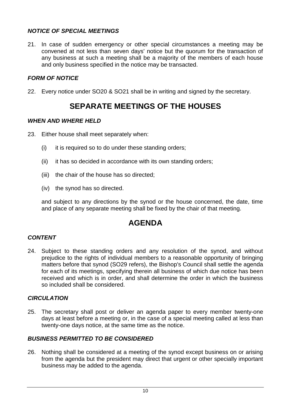#### *NOTICE OF SPECIAL MEETINGS*

21. In case of sudden emergency or other special circumstances a meeting may be convened at not less than seven days' notice but the quorum for the transaction of any business at such a meeting shall be a majority of the members of each house and only business specified in the notice may be transacted.

#### *FORM OF NOTICE*

22. Every notice under SO20 & SO21 shall be in writing and signed by the secretary.

## **SEPARATE MEETINGS OF THE HOUSES**

#### *WHEN AND WHERE HELD*

- 23. Either house shall meet separately when:
	- (i) it is required so to do under these standing orders;
	- (ii) it has so decided in accordance with its own standing orders;
	- (iii) the chair of the house has so directed;
	- (iv) the synod has so directed.

and subject to any directions by the synod or the house concerned, the date, time and place of any separate meeting shall be fixed by the chair of that meeting.

## **AGENDA**

#### *CONTENT*

24. Subject to these standing orders and any resolution of the synod, and without prejudice to the rights of individual members to a reasonable opportunity of bringing matters before that synod (SO29 refers), the Bishop's Council shall settle the agenda for each of its meetings, specifying therein all business of which due notice has been received and which is in order, and shall determine the order in which the business so included shall be considered.

#### *CIRCULATION*

25. The secretary shall post or deliver an agenda paper to every member twenty-one days at least before a meeting or, in the case of a special meeting called at less than twenty-one days notice, at the same time as the notice.

#### *BUSINESS PERMITTED TO BE CONSIDERED*

26. Nothing shall be considered at a meeting of the synod except business on or arising from the agenda but the president may direct that urgent or other specially important business may be added to the agenda.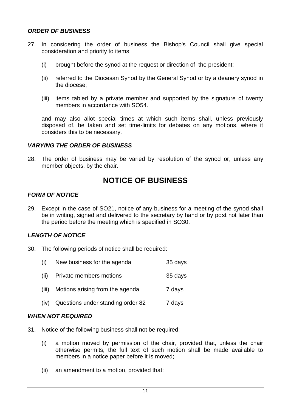#### *ORDER OF BUSINESS*

- 27. In considering the order of business the Bishop's Council shall give special consideration and priority to items:
	- (i) brought before the synod at the request or direction of the president;
	- (ii) referred to the Diocesan Synod by the General Synod or by a deanery synod in the diocese;
	- (iii) items tabled by a private member and supported by the signature of twenty members in accordance with SO54.

and may also allot special times at which such items shall, unless previously disposed of, be taken and set time-limits for debates on any motions, where it considers this to be necessary.

#### *VARYING THE ORDER OF BUSINESS*

28. The order of business may be varied by resolution of the synod or, unless any member objects, by the chair.

## **NOTICE OF BUSINESS**

#### *FORM OF NOTICE*

29. Except in the case of SO21, notice of any business for a meeting of the synod shall be in writing, signed and delivered to the secretary by hand or by post not later than the period before the meeting which is specified in SO30.

#### *LENGTH OF NOTICE*

- 30. The following periods of notice shall be required:
	- (i) New business for the agenda 35 days
	- (ii) Private members motions 35 days
	- (iii) Motions arising from the agenda 7 days
	- $(iv)$  Questions under standing order 82  $\overline{7}$  days

#### *WHEN NOT REQUIRED*

- 31. Notice of the following business shall not be required:
	- (i) a motion moved by permission of the chair, provided that, unless the chair otherwise permits, the full text of such motion shall be made available to members in a notice paper before it is moved;
	- (ii) an amendment to a motion, provided that: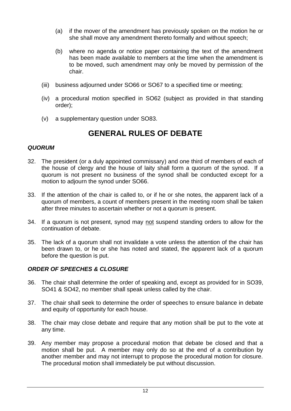- (a) if the mover of the amendment has previously spoken on the motion he or she shall move any amendment thereto formally and without speech;
- (b) where no agenda or notice paper containing the text of the amendment has been made available to members at the time when the amendment is to be moved, such amendment may only be moved by permission of the chair.
- (iii) business adjourned under SO66 or SO67 to a specified time or meeting;
- (iv) a procedural motion specified in SO62 (subject as provided in that standing order);
- (v) a supplementary question under SO83.

## **GENERAL RULES OF DEBATE**

#### *QUORUM*

- 32. The president (or a duly appointed commissary) and one third of members of each of the house of clergy and the house of laity shall form a quorum of the synod. If a quorum is not present no business of the synod shall be conducted except for a motion to adjourn the synod under SO66.
- 33. If the attention of the chair is called to, or if he or she notes, the apparent lack of a quorum of members, a count of members present in the meeting room shall be taken after three minutes to ascertain whether or not a quorum is present.
- 34. If a quorum is not present, synod may not suspend standing orders to allow for the continuation of debate.
- 35. The lack of a quorum shall not invalidate a vote unless the attention of the chair has been drawn to, or he or she has noted and stated, the apparent lack of a quorum before the question is put.

#### *ORDER OF SPEECHES & CLOSURE*

- 36. The chair shall determine the order of speaking and, except as provided for in SO39, SO41 & SO42, no member shall speak unless called by the chair.
- 37. The chair shall seek to determine the order of speeches to ensure balance in debate and equity of opportunity for each house.
- 38. The chair may close debate and require that any motion shall be put to the vote at any time.
- 39. Any member may propose a procedural motion that debate be closed and that a motion shall be put. A member may only do so at the end of a contribution by another member and may not interrupt to propose the procedural motion for closure. The procedural motion shall immediately be put without discussion.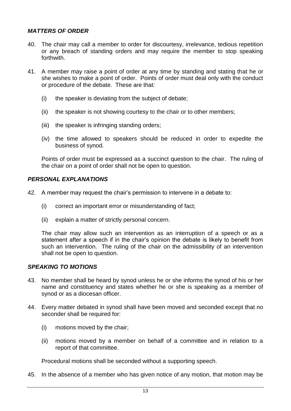#### *MATTERS OF ORDER*

- 40. The chair may call a member to order for discourtesy, irrelevance, tedious repetition or any breach of standing orders and may require the member to stop speaking forthwith.
- 41. A member may raise a point of order at any time by standing and stating that he or she wishes to make a point of order. Points of order must deal only with the conduct or procedure of the debate. These are that:
	- (i) the speaker is deviating from the subject of debate;
	- (ii) the speaker is not showing courtesy to the chair or to other members;
	- (iii) the speaker is infringing standing orders;
	- (iv) the time allowed to speakers should be reduced in order to expedite the business of synod.

Points of order must be expressed as a succinct question to the chair. The ruling of the chair on a point of order shall not be open to question.

#### *PERSONAL EXPLANATIONS*

- 42. A member may request the chair's permission to intervene in a debate to:
	- (i) correct an important error or misunderstanding of fact;
	- (ii) explain a matter of strictly personal concern.

The chair may allow such an intervention as an interruption of a speech or as a statement after a speech if in the chair's opinion the debate is likely to benefit from such an intervention. The ruling of the chair on the admissibility of an intervention shall not be open to question.

#### *SPEAKING TO MOTIONS*

- 43. No member shall be heard by synod unless he or she informs the synod of his or her name and constituency and states whether he or she is speaking as a member of synod or as a diocesan officer.
- 44. Every matter debated in synod shall have been moved and seconded except that no seconder shall be required for:
	- (i) motions moved by the chair;
	- (ii) motions moved by a member on behalf of a committee and in relation to a report of that committee.

Procedural motions shall be seconded without a supporting speech.

45. In the absence of a member who has given notice of any motion, that motion may be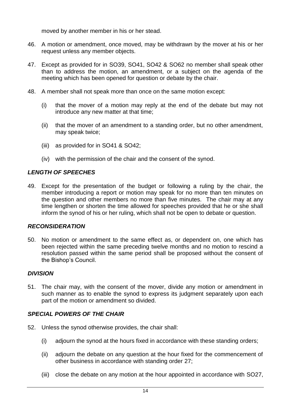moved by another member in his or her stead.

- 46. A motion or amendment, once moved, may be withdrawn by the mover at his or her request unless any member objects.
- 47. Except as provided for in SO39, SO41, SO42 & SO62 no member shall speak other than to address the motion, an amendment, or a subject on the agenda of the meeting which has been opened for question or debate by the chair.
- 48. A member shall not speak more than once on the same motion except:
	- (i) that the mover of a motion may reply at the end of the debate but may not introduce any new matter at that time;
	- (ii) that the mover of an amendment to a standing order, but no other amendment, may speak twice;
	- (iii) as provided for in SO41 & SO42;
	- (iv) with the permission of the chair and the consent of the synod.

#### *LENGTH OF SPEECHES*

49. Except for the presentation of the budget or following a ruling by the chair, the member introducing a report or motion may speak for no more than ten minutes on the question and other members no more than five minutes. The chair may at any time lengthen or shorten the time allowed for speeches provided that he or she shall inform the synod of his or her ruling, which shall not be open to debate or question.

#### *RECONSIDERATION*

50. No motion or amendment to the same effect as, or dependent on, one which has been rejected within the same preceding twelve months and no motion to rescind a resolution passed within the same period shall be proposed without the consent of the Bishop's Council.

#### *DIVISION*

51. The chair may, with the consent of the mover, divide any motion or amendment in such manner as to enable the synod to express its judgment separately upon each part of the motion or amendment so divided.

#### *SPECIAL POWERS OF THE CHAIR*

- 52. Unless the synod otherwise provides, the chair shall:
	- (i) adjourn the synod at the hours fixed in accordance with these standing orders;
	- (ii) adjourn the debate on any question at the hour fixed for the commencement of other business in accordance with standing order 27;
	- (iii) close the debate on any motion at the hour appointed in accordance with SO27,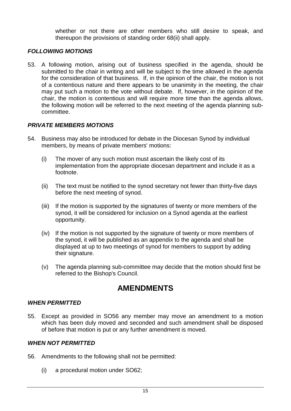whether or not there are other members who still desire to speak, and thereupon the provisions of standing order 68(ii) shall apply.

#### *FOLLOWING MOTIONS*

53. A following motion, arising out of business specified in the agenda, should be submitted to the chair in writing and will be subject to the time allowed in the agenda for the consideration of that business. If, in the opinion of the chair, the motion is not of a contentious nature and there appears to be unanimity in the meeting, the chair may put such a motion to the vote without debate. If, however, in the opinion of the chair, the motion is contentious and will require more time than the agenda allows, the following motion will be referred to the next meeting of the agenda planning subcommittee.

#### *PRIVATE MEMBERS MOTIONS*

- 54. Business may also be introduced for debate in the Diocesan Synod by individual members, by means of private members' motions:
	- (i) The mover of any such motion must ascertain the likely cost of its implementation from the appropriate diocesan department and include it as a footnote.
	- (ii) The text must be notified to the synod secretary not fewer than thirty-five days before the next meeting of synod.
	- (iii) If the motion is supported by the signatures of twenty or more members of the synod, it will be considered for inclusion on a Synod agenda at the earliest opportunity.
	- (iv) If the motion is not supported by the signature of twenty or more members of the synod, it will be published as an appendix to the agenda and shall be displayed at up to two meetings of synod for members to support by adding their signature.
	- (v) The agenda planning sub-committee may decide that the motion should first be referred to the Bishop's Council.

## **AMENDMENTS**

#### *WHEN PERMITTED*

55. Except as provided in SO56 any member may move an amendment to a motion which has been duly moved and seconded and such amendment shall be disposed of before that motion is put or any further amendment is moved.

#### *WHEN NOT PERMITTED*

- 56. Amendments to the following shall not be permitted:
	- (i) a procedural motion under SO62;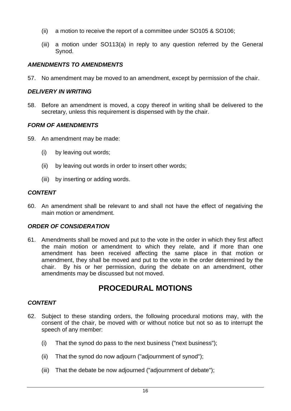- (ii) a motion to receive the report of a committee under SO105 & SO106;
- (iii) a motion under SO113(a) in reply to any question referred by the General Synod.

#### *AMENDMENTS TO AMENDMENTS*

57. No amendment may be moved to an amendment, except by permission of the chair.

#### *DELIVERY IN WRITING*

58. Before an amendment is moved, a copy thereof in writing shall be delivered to the secretary, unless this requirement is dispensed with by the chair.

#### *FORM OF AMENDMENTS*

- 59. An amendment may be made:
	- (i) by leaving out words;
	- (ii) by leaving out words in order to insert other words;
	- (iii) by inserting or adding words.

#### *CONTENT*

60. An amendment shall be relevant to and shall not have the effect of negativing the main motion or amendment.

#### *ORDER OF CONSIDERATION*

61. Amendments shall be moved and put to the vote in the order in which they first affect the main motion or amendment to which they relate, and if more than one amendment has been received affecting the same place in that motion or amendment, they shall be moved and put to the vote in the order determined by the chair. By his or her permission, during the debate on an amendment, other amendments may be discussed but not moved.

## **PROCEDURAL MOTIONS**

#### *CONTENT*

- 62. Subject to these standing orders, the following procedural motions may, with the consent of the chair, be moved with or without notice but not so as to interrupt the speech of any member:
	- (i) That the synod do pass to the next business ("next business");
	- (ii) That the synod do now adjourn ("adjournment of synod");
	- (iii) That the debate be now adjourned ("adjournment of debate");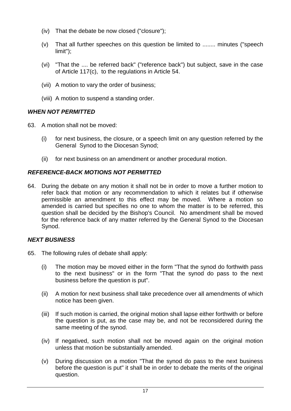- (iv) That the debate be now closed ("closure");
- (v) That all further speeches on this question be limited to ........ minutes ("speech limit");
- (vi) "That the .... be referred back" ("reference back") but subject, save in the case of Article 117(c), to the regulations in Article 54.
- (vii) A motion to vary the order of business;
- (viii) A motion to suspend a standing order.

#### *WHEN NOT PERMITTED*

- 63. A motion shall not be moved:
	- (i) for next business, the closure, or a speech limit on any question referred by the General Synod to the Diocesan Synod;
	- (ii) for next business on an amendment or another procedural motion.

#### *REFERENCE-BACK MOTIONS NOT PERMITTED*

64. During the debate on any motion it shall not be in order to move a further motion to refer back that motion or any recommendation to which it relates but if otherwise permissible an amendment to this effect may be moved. Where a motion so amended is carried but specifies no one to whom the matter is to be referred, this question shall be decided by the Bishop's Council. No amendment shall be moved for the reference back of any matter referred by the General Synod to the Diocesan Synod.

#### *NEXT BUSINESS*

- 65. The following rules of debate shall apply:
	- (i) The motion may be moved either in the form "That the synod do forthwith pass to the next business" or in the form "That the synod do pass to the next business before the question is put".
	- (ii) A motion for next business shall take precedence over all amendments of which notice has been given.
	- (iii) If such motion is carried, the original motion shall lapse either forthwith or before the question is put, as the case may be, and not be reconsidered during the same meeting of the synod.
	- (iv) If negatived, such motion shall not be moved again on the original motion unless that motion be substantially amended.
	- (v) During discussion on a motion "That the synod do pass to the next business before the question is put" it shall be in order to debate the merits of the original question.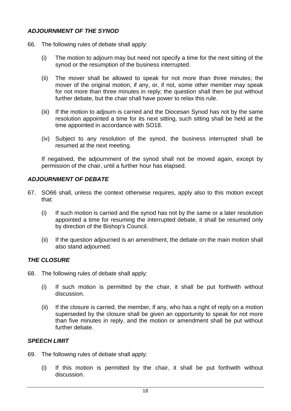#### *ADJOURNMENT OF THE SYNOD*

- 66. The following rules of debate shall apply:
	- (i) The motion to adjourn may but need not specify a time for the next sitting of the synod or the resumption of the business interrupted.
	- (ii) The mover shall be allowed to speak for not more than three minutes; the mover of the original motion, if any, or, if not, some other member may speak for not more than three minutes in reply; the question shall then be put without further debate, but the chair shall have power to relax this rule.
	- (iii) If the motion to adjourn is carried and the Diocesan Synod has not by the same resolution appointed a time for its next sitting, such sitting shall be held at the time appointed in accordance with SO18.
	- (iv) Subject to any resolution of the synod, the business interrupted shall be resumed at the next meeting.

If negatived, the adjournment of the synod shall not be moved again, except by permission of the chair, until a further hour has elapsed.

#### *ADJOURNMENT OF DEBATE*

- 67. SO66 shall, unless the context otherwise requires, apply also to this motion except that:
	- (i) If such motion is carried and the synod has not by the same or a later resolution appointed a time for resuming the interrupted debate, it shall be resumed only by direction of the Bishop's Council.
	- (ii) If the question adjourned is an amendment, the debate on the main motion shall also stand adjourned.

#### *THE CLOSURE*

- 68. The following rules of debate shall apply:
	- (i) If such motion is permitted by the chair, it shall be put forthwith without discussion.
	- (ii) If the closure is carried, the member, if any, who has a right of reply on a motion superseded by the closure shall be given an opportunity to speak for not more than five minutes in reply, and the motion or amendment shall be put without further debate.

#### *SPEECH LIMIT*

- 69. The following rules of debate shall apply:
	- (i) If this motion is permitted by the chair, it shall be put forthwith without discussion.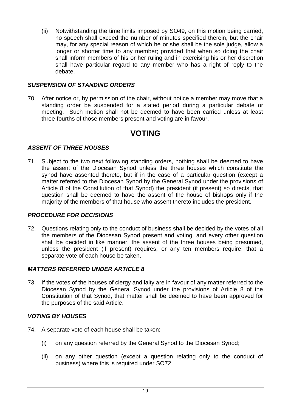(ii) Notwithstanding the time limits imposed by SO49, on this motion being carried, no speech shall exceed the number of minutes specified therein, but the chair may, for any special reason of which he or she shall be the sole judge, allow a longer or shorter time to any member; provided that when so doing the chair shall inform members of his or her ruling and in exercising his or her discretion shall have particular regard to any member who has a right of reply to the debate.

#### *SUSPENSION OF STANDING ORDERS*

70. After notice or, by permission of the chair, without notice a member may move that a standing order be suspended for a stated period during a particular debate or meeting. Such motion shall not be deemed to have been carried unless at least three-fourths of those members present and voting are in favour.

## **VOTING**

#### *ASSENT OF THREE HOUSES*

71. Subject to the two next following standing orders, nothing shall be deemed to have the assent of the Diocesan Synod unless the three houses which constitute the synod have assented thereto, but if in the case of a particular question (except a matter referred to the Diocesan Synod by the General Synod under the provisions of Article 8 of the Constitution of that Synod) the president (if present) so directs, that question shall be deemed to have the assent of the house of bishops only if the majority of the members of that house who assent thereto includes the president.

#### *PROCEDURE FOR DECISIONS*

72. Questions relating only to the conduct of business shall be decided by the votes of all the members of the Diocesan Synod present and voting, and every other question shall be decided in like manner, the assent of the three houses being presumed, unless the president (if present) requires, or any ten members require, that a separate vote of each house be taken.

#### *MATTERS REFERRED UNDER ARTICLE 8*

73. If the votes of the houses of clergy and laity are in favour of any matter referred to the Diocesan Synod by the General Synod under the provisions of Article 8 of the Constitution of that Synod, that matter shall be deemed to have been approved for the purposes of the said Article.

#### *VOTING BY HOUSES*

- 74. A separate vote of each house shall be taken:
	- (i) on any question referred by the General Synod to the Diocesan Synod;
	- (ii) on any other question (except a question relating only to the conduct of business) where this is required under SO72.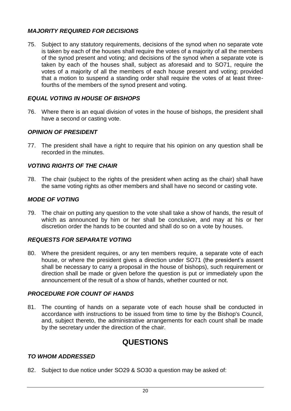#### *MAJORITY REQUIRED FOR DECISIONS*

75. Subject to any statutory requirements, decisions of the synod when no separate vote is taken by each of the houses shall require the votes of a majority of all the members of the synod present and voting; and decisions of the synod when a separate vote is taken by each of the houses shall, subject as aforesaid and to SO71, require the votes of a majority of all the members of each house present and voting; provided that a motion to suspend a standing order shall require the votes of at least threefourths of the members of the synod present and voting.

#### *EQUAL VOTING IN HOUSE OF BISHOPS*

76. Where there is an equal division of votes in the house of bishops, the president shall have a second or casting vote.

#### *OPINION OF PRESIDENT*

77. The president shall have a right to require that his opinion on any question shall be recorded in the minutes.

#### *VOTING RIGHTS OF THE CHAIR*

78. The chair (subject to the rights of the president when acting as the chair) shall have the same voting rights as other members and shall have no second or casting vote.

#### *MODE OF VOTING*

79. The chair on putting any question to the vote shall take a show of hands, the result of which as announced by him or her shall be conclusive, and may at his or her discretion order the hands to be counted and shall do so on a vote by houses.

#### *REQUESTS FOR SEPARATE VOTING*

80. Where the president requires, or any ten members require, a separate vote of each house, or where the president gives a direction under SO71 (the president's assent shall be necessary to carry a proposal in the house of bishops), such requirement or direction shall be made or given before the question is put or immediately upon the announcement of the result of a show of hands, whether counted or not.

#### *PROCEDURE FOR COUNT OF HANDS*

81. The counting of hands on a separate vote of each house shall be conducted in accordance with instructions to be issued from time to time by the Bishop's Council, and, subject thereto, the administrative arrangements for each count shall be made by the secretary under the direction of the chair.

## **QUESTIONS**

#### *TO WHOM ADDRESSED*

82. Subject to due notice under SO29 & SO30 a question may be asked of: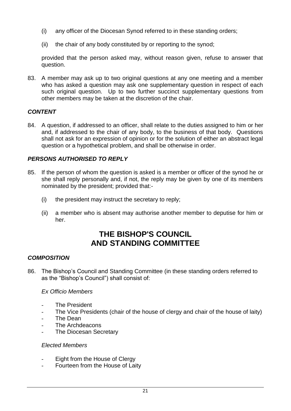- (i) any officer of the Diocesan Synod referred to in these standing orders;
- (ii) the chair of any body constituted by or reporting to the synod;

provided that the person asked may, without reason given, refuse to answer that question.

83. A member may ask up to two original questions at any one meeting and a member who has asked a question may ask one supplementary question in respect of each such original question. Up to two further succinct supplementary questions from other members may be taken at the discretion of the chair.

#### *CONTENT*

84. A question, if addressed to an officer, shall relate to the duties assigned to him or her and, if addressed to the chair of any body, to the business of that body. Questions shall not ask for an expression of opinion or for the solution of either an abstract legal question or a hypothetical problem, and shall be otherwise in order.

#### *PERSONS AUTHORISED TO REPLY*

- 85. If the person of whom the question is asked is a member or officer of the synod he or she shall reply personally and, if not, the reply may be given by one of its members nominated by the president; provided that:-
	- (i) the president may instruct the secretary to reply;
	- (ii) a member who is absent may authorise another member to deputise for him or her.

## **THE BISHOP'S COUNCIL AND STANDING COMMITTEE**

#### *COMPOSITION*

86. The Bishop's Council and Standing Committee (in these standing orders referred to as the "Bishop's Council") shall consist of:

#### *Ex Officio Members*

- The President
- The Vice Presidents (chair of the house of clergy and chair of the house of laity)
- The Dean
- The Archdeacons
- The Diocesan Secretary

#### *Elected Members*

- Eight from the House of Clergy
- Fourteen from the House of Laity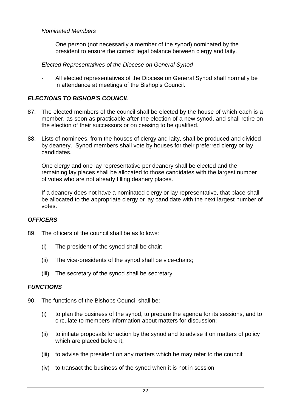#### *Nominated Members*

One person (not necessarily a member of the synod) nominated by the president to ensure the correct legal balance between clergy and laity.

#### *Elected Representatives of the Diocese on General Synod*

All elected representatives of the Diocese on General Synod shall normally be in attendance at meetings of the Bishop's Council.

#### *ELECTIONS TO BISHOP'S COUNCIL*

- 87. The elected members of the council shall be elected by the house of which each is a member, as soon as practicable after the election of a new synod, and shall retire on the election of their successors or on ceasing to be qualified.
- 88. Lists of nominees, from the houses of clergy and laity, shall be produced and divided by deanery. Synod members shall vote by houses for their preferred clergy or lay candidates.

One clergy and one lay representative per deanery shall be elected and the remaining lay places shall be allocated to those candidates with the largest number of votes who are not already filling deanery places.

If a deanery does not have a nominated clergy or lay representative, that place shall be allocated to the appropriate clergy or lay candidate with the next largest number of votes.

#### *OFFICERS*

- 89. The officers of the council shall be as follows:
	- (i) The president of the synod shall be chair;
	- (ii) The vice-presidents of the synod shall be vice-chairs;
	- (iii) The secretary of the synod shall be secretary.

#### *FUNCTIONS*

- 90. The functions of the Bishops Council shall be:
	- (i) to plan the business of the synod, to prepare the agenda for its sessions, and to circulate to members information about matters for discussion;
	- (ii) to initiate proposals for action by the synod and to advise it on matters of policy which are placed before it;
	- (iii) to advise the president on any matters which he may refer to the council;
	- (iv) to transact the business of the synod when it is not in session;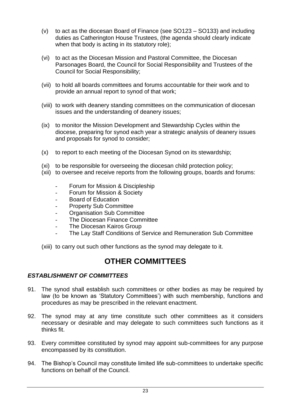- (v) to act as the diocesan Board of Finance (see SO123 SO133) and including duties as Catherington House Trustees, (the agenda should clearly indicate when that body is acting in its statutory role);
- (vi) to act as the Diocesan Mission and Pastoral Committee, the Diocesan Parsonages Board, the Council for Social Responsibility and Trustees of the Council for Social Responsibility;
- (vii) to hold all boards committees and forums accountable for their work and to provide an annual report to synod of that work;
- (viii) to work with deanery standing committees on the communication of diocesan issues and the understanding of deanery issues;
- (ix) to monitor the Mission Development and Stewardship Cycles within the diocese, preparing for synod each year a strategic analysis of deanery issues and proposals for synod to consider;
- (x) to report to each meeting of the Diocesan Synod on its stewardship;
- (xi) to be responsible for overseeing the diocesan child protection policy;
- (xii) to oversee and receive reports from the following groups, boards and forums:
	- Forum for Mission & Discipleship
	- Forum for Mission & Society
	- Board of Education
	- Property Sub Committee
	- Organisation Sub Committee
	- The Diocesan Finance Committee
	- The Diocesan Kairos Group
	- The Lay Staff Conditions of Service and Remuneration Sub Committee
- (xiii) to carry out such other functions as the synod may delegate to it.

## **OTHER COMMITTEES**

#### *ESTABLISHMENT OF COMMITTEES*

- 91. The synod shall establish such committees or other bodies as may be required by law (to be known as 'Statutory Committees') with such membership, functions and procedures as may be prescribed in the relevant enactment.
- 92. The synod may at any time constitute such other committees as it considers necessary or desirable and may delegate to such committees such functions as it thinks fit.
- 93. Every committee constituted by synod may appoint sub-committees for any purpose encompassed by its constitution.
- 94. The Bishop's Council may constitute limited life sub-committees to undertake specific functions on behalf of the Council.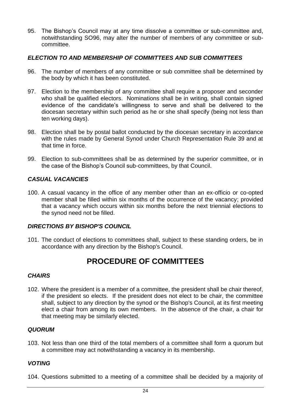95. The Bishop's Council may at any time dissolve a committee or sub-committee and, notwithstanding SO96, may alter the number of members of any committee or subcommittee.

#### *ELECTION TO AND MEMBERSHIP OF COMMITTEES AND SUB COMMITTEES*

- 96. The number of members of any committee or sub committee shall be determined by the body by which it has been constituted.
- 97. Election to the membership of any committee shall require a proposer and seconder who shall be qualified electors. Nominations shall be in writing, shall contain signed evidence of the candidate's willingness to serve and shall be delivered to the diocesan secretary within such period as he or she shall specify (being not less than ten working days).
- 98. Election shall be by postal ballot conducted by the diocesan secretary in accordance with the rules made by General Synod under Church Representation Rule 39 and at that time in force.
- 99. Election to sub-committees shall be as determined by the superior committee, or in the case of the Bishop's Council sub-committees, by that Council.

#### *CASUAL VACANCIES*

100. A casual vacancy in the office of any member other than an ex-officio or co-opted member shall be filled within six months of the occurrence of the vacancy; provided that a vacancy which occurs within six months before the next triennial elections to the synod need not be filled.

#### *DIRECTIONS BY BISHOP'S COUNCIL*

101. The conduct of elections to committees shall, subject to these standing orders, be in accordance with any direction by the Bishop's Council.

## **PROCEDURE OF COMMITTEES**

#### *CHAIRS*

102. Where the president is a member of a committee, the president shall be chair thereof, if the president so elects. If the president does not elect to be chair, the committee shall, subject to any direction by the synod or the Bishop's Council, at its first meeting elect a chair from among its own members. In the absence of the chair, a chair for that meeting may be similarly elected.

#### *QUORUM*

103. Not less than one third of the total members of a committee shall form a quorum but a committee may act notwithstanding a vacancy in its membership.

#### *VOTING*

104. Questions submitted to a meeting of a committee shall be decided by a majority of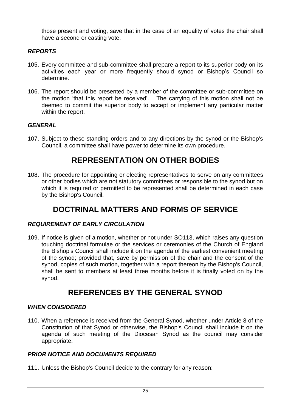those present and voting, save that in the case of an equality of votes the chair shall have a second or casting vote.

#### *REPORTS*

- 105. Every committee and sub-committee shall prepare a report to its superior body on its activities each year or more frequently should synod or Bishop's Council so determine.
- 106. The report should be presented by a member of the committee or sub-committee on the motion 'that this report be received'. The carrying of this motion shall not be deemed to commit the superior body to accept or implement any particular matter within the report.

#### *GENERAL*

107. Subject to these standing orders and to any directions by the synod or the Bishop's Council, a committee shall have power to determine its own procedure.

## **REPRESENTATION ON OTHER BODIES**

108. The procedure for appointing or electing representatives to serve on any committees or other bodies which are not statutory committees or responsible to the synod but on which it is required or permitted to be represented shall be determined in each case by the Bishop's Council.

## **DOCTRINAL MATTERS AND FORMS OF SERVICE**

#### *REQUIREMENT OF EARLY CIRCULATION*

109. If notice is given of a motion, whether or not under SO113, which raises any question touching doctrinal formulae or the services or ceremonies of the Church of England the Bishop's Council shall include it on the agenda of the earliest convenient meeting of the synod; provided that, save by permission of the chair and the consent of the synod, copies of such motion, together with a report thereon by the Bishop's Council, shall be sent to members at least three months before it is finally voted on by the synod.

## **REFERENCES BY THE GENERAL SYNOD**

#### *WHEN CONSIDERED*

110. When a reference is received from the General Synod, whether under Article 8 of the Constitution of that Synod or otherwise, the Bishop's Council shall include it on the agenda of such meeting of the Diocesan Synod as the council may consider appropriate.

#### *PRIOR NOTICE AND DOCUMENTS REQUIRED*

111. Unless the Bishop's Council decide to the contrary for any reason: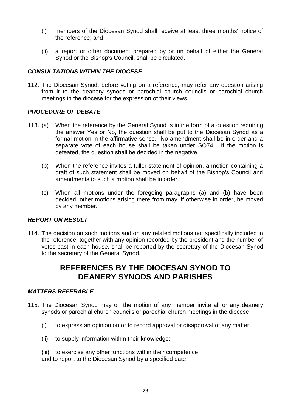- (i) members of the Diocesan Synod shall receive at least three months' notice of the reference; and
- (ii) a report or other document prepared by or on behalf of either the General Synod or the Bishop's Council, shall be circulated.

#### *CONSULTATIONS WITHIN THE DIOCESE*

112. The Diocesan Synod, before voting on a reference, may refer any question arising from it to the deanery synods or parochial church councils or parochial church meetings in the diocese for the expression of their views.

#### *PROCEDURE OF DEBATE*

- 113. (a) When the reference by the General Synod is in the form of a question requiring the answer Yes or No, the question shall be put to the Diocesan Synod as a formal motion in the affirmative sense. No amendment shall be in order and a separate vote of each house shall be taken under SO74. If the motion is defeated, the question shall be decided in the negative.
	- (b) When the reference invites a fuller statement of opinion, a motion containing a draft of such statement shall be moved on behalf of the Bishop's Council and amendments to such a motion shall be in order.
	- (c) When all motions under the foregoing paragraphs (a) and (b) have been decided, other motions arising there from may, if otherwise in order, be moved by any member.

#### *REPORT ON RESULT*

114. The decision on such motions and on any related motions not specifically included in the reference, together with any opinion recorded by the president and the number of votes cast in each house, shall be reported by the secretary of the Diocesan Synod to the secretary of the General Synod.

## **REFERENCES BY THE DIOCESAN SYNOD TO DEANERY SYNODS AND PARISHES**

#### *MATTERS REFERABLE*

- 115. The Diocesan Synod may on the motion of any member invite all or any deanery synods or parochial church councils or parochial church meetings in the diocese:
	- (i) to express an opinion on or to record approval or disapproval of any matter;
	- (ii) to supply information within their knowledge;

(iii) to exercise any other functions within their competence; and to report to the Diocesan Synod by a specified date.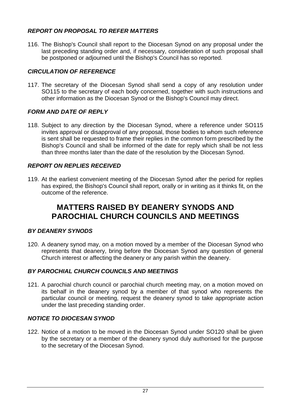#### *REPORT ON PROPOSAL TO REFER MATTERS*

116. The Bishop's Council shall report to the Diocesan Synod on any proposal under the last preceding standing order and, if necessary, consideration of such proposal shall be postponed or adjourned until the Bishop's Council has so reported.

#### *CIRCULATION OF REFERENCE*

117. The secretary of the Diocesan Synod shall send a copy of any resolution under SO115 to the secretary of each body concerned, together with such instructions and other information as the Diocesan Synod or the Bishop's Council may direct.

#### *FORM AND DATE OF REPLY*

118. Subject to any direction by the Diocesan Synod, where a reference under SO115 invites approval or disapproval of any proposal, those bodies to whom such reference is sent shall be requested to frame their replies in the common form prescribed by the Bishop's Council and shall be informed of the date for reply which shall be not less than three months later than the date of the resolution by the Diocesan Synod.

#### *REPORT ON REPLIES RECEIVED*

119. At the earliest convenient meeting of the Diocesan Synod after the period for replies has expired, the Bishop's Council shall report, orally or in writing as it thinks fit, on the outcome of the reference.

## **MATTERS RAISED BY DEANERY SYNODS AND PAROCHIAL CHURCH COUNCILS AND MEETINGS**

#### *BY DEANERY SYNODS*

120. A deanery synod may, on a motion moved by a member of the Diocesan Synod who represents that deanery, bring before the Diocesan Synod any question of general Church interest or affecting the deanery or any parish within the deanery.

#### *BY PAROCHIAL CHURCH COUNCILS AND MEETINGS*

121. A parochial church council or parochial church meeting may, on a motion moved on its behalf in the deanery synod by a member of that synod who represents the particular council or meeting, request the deanery synod to take appropriate action under the last preceding standing order.

#### *NOTICE TO DIOCESAN SYNOD*

122. Notice of a motion to be moved in the Diocesan Synod under SO120 shall be given by the secretary or a member of the deanery synod duly authorised for the purpose to the secretary of the Diocesan Synod.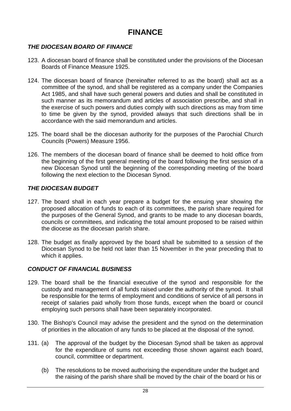## **FINANCE**

#### *THE DIOCESAN BOARD OF FINANCE*

- 123. A diocesan board of finance shall be constituted under the provisions of the Diocesan Boards of Finance Measure 1925.
- 124. The diocesan board of finance (hereinafter referred to as the board) shall act as a committee of the synod, and shall be registered as a company under the Companies Act 1985, and shall have such general powers and duties and shall be constituted in such manner as its memorandum and articles of association prescribe, and shall in the exercise of such powers and duties comply with such directions as may from time to time be given by the synod, provided always that such directions shall be in accordance with the said memorandum and articles.
- 125. The board shall be the diocesan authority for the purposes of the Parochial Church Councils (Powers) Measure 1956.
- 126. The members of the diocesan board of finance shall be deemed to hold office from the beginning of the first general meeting of the board following the first session of a new Diocesan Synod until the beginning of the corresponding meeting of the board following the next election to the Diocesan Synod.

#### *THE DIOCESAN BUDGET*

- 127. The board shall in each year prepare a budget for the ensuing year showing the proposed allocation of funds to each of its committees, the parish share required for the purposes of the General Synod, and grants to be made to any diocesan boards, councils or committees, and indicating the total amount proposed to be raised within the diocese as the diocesan parish share.
- 128. The budget as finally approved by the board shall be submitted to a session of the Diocesan Synod to be held not later than 15 November in the year preceding that to which it applies.

#### *CONDUCT OF FINANCIAL BUSINESS*

- 129. The board shall be the financial executive of the synod and responsible for the custody and management of all funds raised under the authority of the synod. It shall be responsible for the terms of employment and conditions of service of all persons in receipt of salaries paid wholly from those funds, except when the board or council employing such persons shall have been separately incorporated.
- 130. The Bishop's Council may advise the president and the synod on the determination of priorities in the allocation of any funds to be placed at the disposal of the synod.
- 131. (a) The approval of the budget by the Diocesan Synod shall be taken as approval for the expenditure of sums not exceeding those shown against each board, council, committee or department.
	- (b) The resolutions to be moved authorising the expenditure under the budget and the raising of the parish share shall be moved by the chair of the board or his or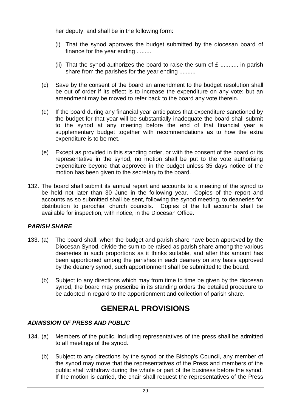her deputy, and shall be in the following form:

- (i) That the synod approves the budget submitted by the diocesan board of finance for the year ending .........
- (ii) That the synod authorizes the board to raise the sum of  $E$  ........... in parish share from the parishes for the year ending ..........
- (c) Save by the consent of the board an amendment to the budget resolution shall be out of order if its effect is to increase the expenditure on any vote; but an amendment may be moved to refer back to the board any vote therein.
- (d) If the board during any financial year anticipates that expenditure sanctioned by the budget for that year will be substantially inadequate the board shall submit to the synod at any meeting before the end of that financial year a supplementary budget together with recommendations as to how the extra expenditure is to be met.
- (e) Except as provided in this standing order, or with the consent of the board or its representative in the synod, no motion shall be put to the vote authorising expenditure beyond that approved in the budget unless 35 days notice of the motion has been given to the secretary to the board.
- 132. The board shall submit its annual report and accounts to a meeting of the synod to be held not later than 30 June in the following year. Copies of the report and accounts as so submitted shall be sent, following the synod meeting, to deaneries for distribution to parochial church councils. available for inspection, with notice, in the Diocesan Office.

#### *PARISH SHARE*

- 133. (a) The board shall, when the budget and parish share have been approved by the Diocesan Synod, divide the sum to be raised as parish share among the various deaneries in such proportions as it thinks suitable, and after this amount has been apportioned among the parishes in each deanery on any basis approved by the deanery synod, such apportionment shall be submitted to the board.
	- (b) Subject to any directions which may from time to time be given by the diocesan synod, the board may prescribe in its standing orders the detailed procedure to be adopted in regard to the apportionment and collection of parish share.

## **GENERAL PROVISIONS**

#### *ADMISSION OF PRESS AND PUBLIC*

- 134. (a) Members of the public, including representatives of the press shall be admitted to all meetings of the synod.
	- (b) Subject to any directions by the synod or the Bishop's Council, any member of the synod may move that the representatives of the Press and members of the public shall withdraw during the whole or part of the business before the synod. If the motion is carried, the chair shall request the representatives of the Press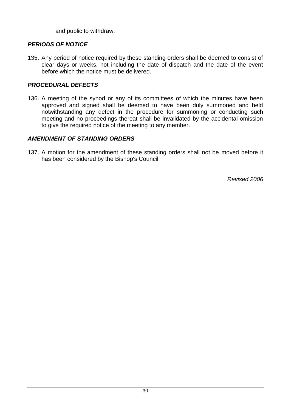and public to withdraw.

#### *PERIODS OF NOTICE*

135. Any period of notice required by these standing orders shall be deemed to consist of clear days or weeks, not including the date of dispatch and the date of the event before which the notice must be delivered.

#### *PROCEDURAL DEFECTS*

136. A meeting of the synod or any of its committees of which the minutes have been approved and signed shall be deemed to have been duly summoned and held notwithstanding any defect in the procedure for summoning or conducting such meeting and no proceedings thereat shall be invalidated by the accidental omission to give the required notice of the meeting to any member.

#### *AMENDMENT OF STANDING ORDERS*

137. A motion for the amendment of these standing orders shall not be moved before it has been considered by the Bishop's Council.

*Revised 2006*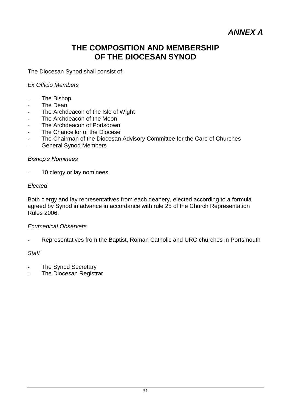## *ANNEX A*

## **THE COMPOSITION AND MEMBERSHIP OF THE DIOCESAN SYNOD**

The Diocesan Synod shall consist of:

#### *Ex Officio Members*

- The Bishop
- The Dean
- The Archdeacon of the Isle of Wight
- The Archdeacon of the Meon
- The Archdeacon of Portsdown
- The Chancellor of the Diocese
- The Chairman of the Diocesan Advisory Committee for the Care of Churches
- General Synod Members

#### *Bishop's Nominees*

10 clergy or lay nominees

#### *Elected*

Both clergy and lay representatives from each deanery, elected according to a formula agreed by Synod in advance in accordance with rule 25 of the Church Representation Rules 2006.

#### *Ecumenical Observers*

Representatives from the Baptist, Roman Catholic and URC churches in Portsmouth

#### *Staff*

- The Synod Secretary
- The Diocesan Registrar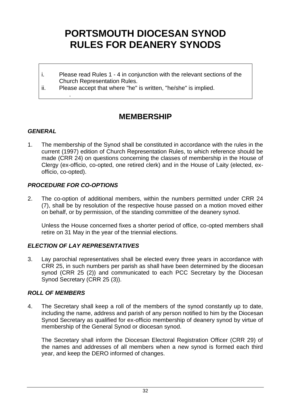# **PORTSMOUTH DIOCESAN SYNOD RULES FOR DEANERY SYNODS**

- i. Please read Rules 1 4 in conjunction with the relevant sections of the Church Representation Rules.
- ii. Please accept that where "he" is written, "he/she" is implied.

## **MEMBERSHIP**

#### *GENERAL*

1. The membership of the Synod shall be constituted in accordance with the rules in the current (1997) edition of Church Representation Rules, to which reference should be made (CRR 24) on questions concerning the classes of membership in the House of Clergy (ex-officio, co-opted, one retired clerk) and in the House of Laity (elected, exofficio, co-opted).

#### *PROCEDURE FOR CO-OPTIONS*

.

2. The co-option of additional members, within the numbers permitted under CRR 24 (7), shall be by resolution of the respective house passed on a motion moved either on behalf, or by permission, of the standing committee of the deanery synod.

Unless the House concerned fixes a shorter period of office, co-opted members shall retire on 31 May in the year of the triennial elections.

#### *ELECTION OF LAY REPRESENTATIVES*

3. Lay parochial representatives shall be elected every three years in accordance with CRR 25, in such numbers per parish as shall have been determined by the diocesan synod (CRR 25 (2)) and communicated to each PCC Secretary by the Diocesan Synod Secretary (CRR 25 (3)).

#### *ROLL OF MEMBERS*

4. The Secretary shall keep a roll of the members of the synod constantly up to date, including the name, address and parish of any person notified to him by the Diocesan Synod Secretary as qualified for ex-officio membership of deanery synod by virtue of membership of the General Synod or diocesan synod.

The Secretary shall inform the Diocesan Electoral Registration Officer (CRR 29) of the names and addresses of all members when a new synod is formed each third year, and keep the DERO informed of changes.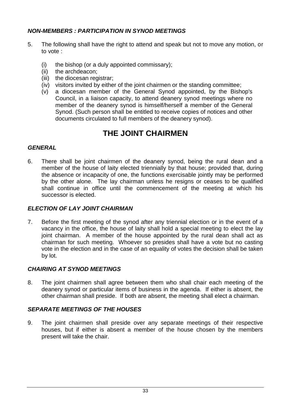#### *NON-MEMBERS : PARTICIPATION IN SYNOD MEETINGS*

- 5. The following shall have the right to attend and speak but not to move any motion, or to vote :
	- (i) the bishop (or a duly appointed commissary);
	- (ii) the archdeacon;
	- (iii) the diocesan registrar;
	- (iv) visitors invited by either of the joint chairmen or the standing committee;
	- (v) a diocesan member of the General Synod appointed, by the Bishop's Council, in a liaison capacity, to attend deanery synod meetings where no member of the deanery synod is himself/herself a member of the General Synod. (Such person shall be entitled to receive copies of notices and other documents circulated to full members of the deanery synod).

## **THE JOINT CHAIRMEN**

#### *GENERAL*

6. There shall be joint chairmen of the deanery synod, being the rural dean and a member of the house of laity elected triennially by that house; provided that, during the absence or incapacity of one, the functions exercisable jointly may be performed by the other alone. The lay chairman unless he resigns or ceases to be qualified shall continue in office until the commencement of the meeting at which his successor is elected.

#### *ELECTION OF LAY JOINT CHAIRMAN*

7. Before the first meeting of the synod after any triennial election or in the event of a vacancy in the office, the house of laity shall hold a special meeting to elect the lay joint chairman. A member of the house appointed by the rural dean shall act as chairman for such meeting. Whoever so presides shall have a vote but no casting vote in the election and in the case of an equality of votes the decision shall be taken by lot.

#### *CHAIRING AT SYNOD MEETINGS*

8. The joint chairmen shall agree between them who shall chair each meeting of the deanery synod or particular items of business in the agenda. If either is absent, the other chairman shall preside. If both are absent, the meeting shall elect a chairman.

#### *SEPARATE MEETINGS OF THE HOUSES*

9. The joint chairmen shall preside over any separate meetings of their respective houses, but if either is absent a member of the house chosen by the members present will take the chair.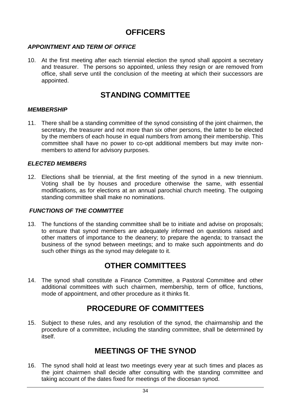## **OFFICERS**

#### *APPOINTMENT AND TERM OF OFFICE*

10. At the first meeting after each triennial election the synod shall appoint a secretary and treasurer. The persons so appointed, unless they resign or are removed from office, shall serve until the conclusion of the meeting at which their successors are appointed.

## **STANDING COMMITTEE**

#### *MEMBERSHIP*

11. There shall be a standing committee of the synod consisting of the joint chairmen, the secretary, the treasurer and not more than six other persons, the latter to be elected by the members of each house in equal numbers from among their membership. This committee shall have no power to co-opt additional members but may invite nonmembers to attend for advisory purposes.

#### *ELECTED MEMBERS*

12. Elections shall be triennial, at the first meeting of the synod in a new triennium. Voting shall be by houses and procedure otherwise the same, with essential modifications, as for elections at an annual parochial church meeting. The outgoing standing committee shall make no nominations.

#### *FUNCTIONS OF THE COMMITTEE*

13. The functions of the standing committee shall be to initiate and advise on proposals; to ensure that synod members are adequately informed on questions raised and other matters of importance to the deanery; to prepare the agenda; to transact the business of the synod between meetings; and to make such appointments and do such other things as the synod may delegate to it.

## **OTHER COMMITTEES**

14. The synod shall constitute a Finance Committee, a Pastoral Committee and other additional committees with such chairmen, membership, term of office, functions, mode of appointment, and other procedure as it thinks fit.

## **PROCEDURE OF COMMITTEES**

15. Subject to these rules, and any resolution of the synod, the chairmanship and the procedure of a committee, including the standing committee, shall be determined by itself.

## **MEETINGS OF THE SYNOD**

16. The synod shall hold at least two meetings every year at such times and places as the joint chairmen shall decide after consulting with the standing committee and taking account of the dates fixed for meetings of the diocesan synod.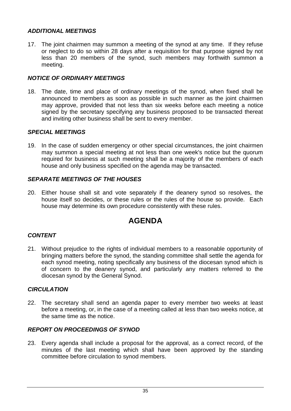#### *ADDITIONAL MEETINGS*

17. The joint chairmen may summon a meeting of the synod at any time. If they refuse or neglect to do so within 28 days after a requisition for that purpose signed by not less than 20 members of the synod, such members may forthwith summon a meeting.

#### *NOTICE OF ORDINARY MEETINGS*

18. The date, time and place of ordinary meetings of the synod, when fixed shall be announced to members as soon as possible in such manner as the joint chairmen may approve, provided that not less than six weeks before each meeting a notice signed by the secretary specifying any business proposed to be transacted thereat and inviting other business shall be sent to every member.

#### *SPECIAL MEETINGS*

19. In the case of sudden emergency or other special circumstances, the joint chairmen may summon a special meeting at not less than one week's notice but the quorum required for business at such meeting shall be a majority of the members of each house and only business specified on the agenda may be transacted.

#### *SEPARATE MEETINGS OF THE HOUSES*

20. Either house shall sit and vote separately if the deanery synod so resolves, the house itself so decides, or these rules or the rules of the house so provide. Each house may determine its own procedure consistently with these rules.

## **AGENDA**

#### *CONTENT*

21. Without prejudice to the rights of individual members to a reasonable opportunity of bringing matters before the synod, the standing committee shall settle the agenda for each synod meeting, noting specifically any business of the diocesan synod which is of concern to the deanery synod, and particularly any matters referred to the diocesan synod by the General Synod.

#### *CIRCULATION*

22. The secretary shall send an agenda paper to every member two weeks at least before a meeting, or, in the case of a meeting called at less than two weeks notice, at the same time as the notice.

#### *REPORT ON PROCEEDINGS OF SYNOD*

23. Every agenda shall include a proposal for the approval, as a correct record, of the minutes of the last meeting which shall have been approved by the standing committee before circulation to synod members.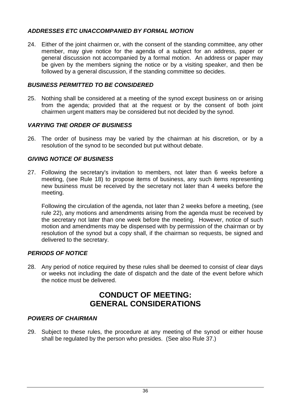#### *ADDRESSES ETC UNACCOMPANIED BY FORMAL MOTION*

24. Either of the joint chairmen or, with the consent of the standing committee, any other member, may give notice for the agenda of a subject for an address, paper or general discussion not accompanied by a formal motion. An address or paper may be given by the members signing the notice or by a visiting speaker, and then be followed by a general discussion, if the standing committee so decides.

#### *BUSINESS PERMITTED TO BE CONSIDERED*

25. Nothing shall be considered at a meeting of the synod except business on or arising from the agenda; provided that at the request or by the consent of both joint chairmen urgent matters may be considered but not decided by the synod.

#### *VARYING THE ORDER OF BUSINESS*

26. The order of business may be varied by the chairman at his discretion, or by a resolution of the synod to be seconded but put without debate.

#### *GIVING NOTICE OF BUSINESS*

27. Following the secretary's invitation to members, not later than 6 weeks before a meeting, (see Rule 18) to propose items of business, any such items representing new business must be received by the secretary not later than 4 weeks before the meeting.

Following the circulation of the agenda, not later than 2 weeks before a meeting, (see rule 22), any motions and amendments arising from the agenda must be received by the secretary not later than one week before the meeting. However, notice of such motion and amendments may be dispensed with by permission of the chairman or by resolution of the synod but a copy shall, if the chairman so requests, be signed and delivered to the secretary.

#### *PERIODS OF NOTICE*

28. Any period of notice required by these rules shall be deemed to consist of clear days or weeks not including the date of dispatch and the date of the event before which the notice must be delivered.

## **CONDUCT OF MEETING: GENERAL CONSIDERATIONS**

#### *POWERS OF CHAIRMAN*

29. Subject to these rules, the procedure at any meeting of the synod or either house shall be regulated by the person who presides. (See also Rule 37.)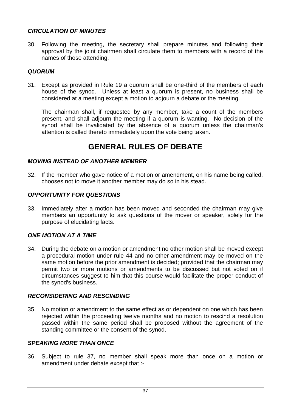#### *CIRCULATION OF MINUTES*

30. Following the meeting, the secretary shall prepare minutes and following their approval by the joint chairmen shall circulate them to members with a record of the names of those attending.

#### *QUORUM*

31. Except as provided in Rule 19 a quorum shall be one-third of the members of each house of the synod. Unless at least a quorum is present, no business shall be considered at a meeting except a motion to adjourn a debate or the meeting.

The chairman shall, if requested by any member, take a count of the members present, and shall adjourn the meeting if a quorum is wanting. No decision of the synod shall be invalidated by the absence of a quorum unless the chairman's attention is called thereto immediately upon the vote being taken.

## **GENERAL RULES OF DEBATE**

#### *MOVING INSTEAD OF ANOTHER MEMBER*

32. If the member who gave notice of a motion or amendment, on his name being called, chooses not to move it another member may do so in his stead.

#### *OPPORTUNITY FOR QUESTIONS*

33. Immediately after a motion has been moved and seconded the chairman may give members an opportunity to ask questions of the mover or speaker, solely for the purpose of elucidating facts.

#### *ONE MOTION AT A TIME*

34. During the debate on a motion or amendment no other motion shall be moved except a procedural motion under rule 44 and no other amendment may be moved on the same motion before the prior amendment is decided; provided that the chairman may permit two or more motions or amendments to be discussed but not voted on if circumstances suggest to him that this course would facilitate the proper conduct of the synod's business.

#### *RECONSIDERING AND RESCINDING*

35. No motion or amendment to the same effect as or dependent on one which has been rejected within the proceeding twelve months and no motion to rescind a resolution passed within the same period shall be proposed without the agreement of the standing committee or the consent of the synod.

#### *SPEAKING MORE THAN ONCE*

36. Subject to rule 37, no member shall speak more than once on a motion or amendment under debate except that :-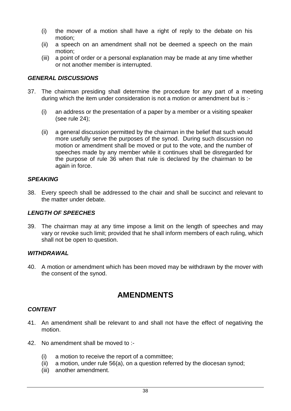- (i) the mover of a motion shall have a right of reply to the debate on his motion;
- (ii) a speech on an amendment shall not be deemed a speech on the main motion;
- (iii) a point of order or a personal explanation may be made at any time whether or not another member is interrupted.

#### *GENERAL DISCUSSIONS*

- 37. The chairman presiding shall determine the procedure for any part of a meeting during which the item under consideration is not a motion or amendment but is :-
	- (i) an address or the presentation of a paper by a member or a visiting speaker (see rule 24);
	- (ii) a general discussion permitted by the chairman in the belief that such would more usefully serve the purposes of the synod. During such discussion no motion or amendment shall be moved or put to the vote, and the number of speeches made by any member while it continues shall be disregarded for the purpose of rule 36 when that rule is declared by the chairman to be again in force.

#### *SPEAKING*

38. Every speech shall be addressed to the chair and shall be succinct and relevant to the matter under debate.

#### *LENGTH OF SPEECHES*

39. The chairman may at any time impose a limit on the length of speeches and may vary or revoke such limit; provided that he shall inform members of each ruling, which shall not be open to question.

#### *WITHDRAWAL*

40. A motion or amendment which has been moved may be withdrawn by the mover with the consent of the synod.

## **AMENDMENTS**

#### *CONTENT*

- 41. An amendment shall be relevant to and shall not have the effect of negativing the motion.
- 42. No amendment shall be moved to :-
	- (i) a motion to receive the report of a committee;
	- (ii) a motion, under rule 56(a), on a question referred by the diocesan synod;
	- (iii) another amendment.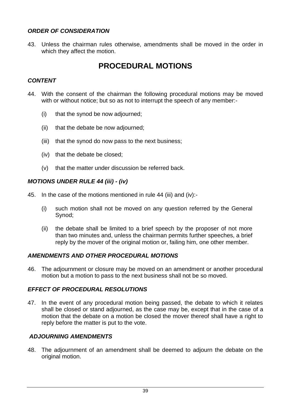#### *ORDER OF CONSIDERATION*

43. Unless the chairman rules otherwise, amendments shall be moved in the order in which they affect the motion.

## **PROCEDURAL MOTIONS**

#### *CONTENT*

- 44. With the consent of the chairman the following procedural motions may be moved with or without notice; but so as not to interrupt the speech of any member:-
	- (i) that the synod be now adjourned;
	- (ii) that the debate be now adjourned;
	- (iii) that the synod do now pass to the next business;
	- (iv) that the debate be closed;
	- (v) that the matter under discussion be referred back.

#### *MOTIONS UNDER RULE 44 (iii) - (iv)*

- 45. In the case of the motions mentioned in rule 44 (iii) and (iv):-
	- (i) such motion shall not be moved on any question referred by the General Synod;
	- (ii) the debate shall be limited to a brief speech by the proposer of not more than two minutes and, unless the chairman permits further speeches, a brief reply by the mover of the original motion or, failing him, one other member.

#### *AMENDMENTS AND OTHER PROCEDURAL MOTIONS*

46. The adjournment or closure may be moved on an amendment or another procedural motion but a motion to pass to the next business shall not be so moved.

#### *EFFECT OF PROCEDURAL RESOLUTIONS*

47. In the event of any procedural motion being passed, the debate to which it relates shall be closed or stand adjourned, as the case may be, except that in the case of a motion that the debate on a motion be closed the mover thereof shall have a right to reply before the matter is put to the vote.

#### *ADJOURNING AMENDMENTS*

48. The adjournment of an amendment shall be deemed to adjourn the debate on the original motion.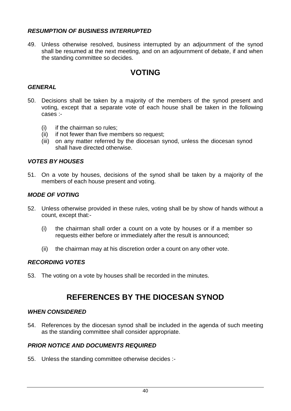#### *RESUMPTION OF BUSINESS INTERRUPTED*

49. Unless otherwise resolved, business interrupted by an adjournment of the synod shall be resumed at the next meeting, and on an adjournment of debate, if and when the standing committee so decides.

## **VOTING**

#### *GENERAL*

- 50. Decisions shall be taken by a majority of the members of the synod present and voting, except that a separate vote of each house shall be taken in the following cases :-
	- (i) if the chairman so rules;
	- (ii) if not fewer than five members so request;
	- (iii) on any matter referred by the diocesan synod, unless the diocesan synod shall have directed otherwise.

#### *VOTES BY HOUSES*

51. On a vote by houses, decisions of the synod shall be taken by a majority of the members of each house present and voting.

#### *MODE OF VOTING*

- 52. Unless otherwise provided in these rules, voting shall be by show of hands without a count, except that:-
	- (i) the chairman shall order a count on a vote by houses or if a member so requests either before or immediately after the result is announced;
	- (ii) the chairman may at his discretion order a count on any other vote.

#### *RECORDING VOTES*

53. The voting on a vote by houses shall be recorded in the minutes.

## **REFERENCES BY THE DIOCESAN SYNOD**

#### *WHEN CONSIDERED*

54. References by the diocesan synod shall be included in the agenda of such meeting as the standing committee shall consider appropriate.

#### *PRIOR NOTICE AND DOCUMENTS REQUIRED*

55. Unless the standing committee otherwise decides :-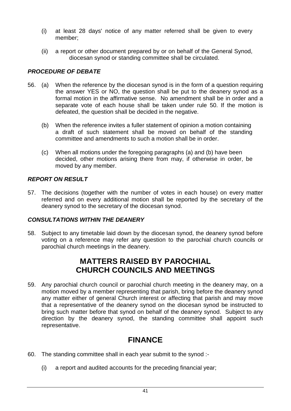- (i) at least 28 days' notice of any matter referred shall be given to every member;
- (ii) a report or other document prepared by or on behalf of the General Synod, diocesan synod or standing committee shall be circulated.

#### *PROCEDURE OF DEBATE*

- 56. (a) When the reference by the diocesan synod is in the form of a question requiring the answer YES or NO, the question shall be put to the deanery synod as a formal motion in the affirmative sense. No amendment shall be in order and a separate vote of each house shall be taken under rule 50. If the motion is defeated, the question shall be decided in the negative.
	- (b) When the reference invites a fuller statement of opinion a motion containing a draft of such statement shall be moved on behalf of the standing committee and amendments to such a motion shall be in order.
	- (c) When all motions under the foregoing paragraphs (a) and (b) have been decided, other motions arising there from may, if otherwise in order, be moved by any member.

#### *REPORT ON RESULT*

57. The decisions (together with the number of votes in each house) on every matter referred and on every additional motion shall be reported by the secretary of the deanery synod to the secretary of the diocesan synod.

#### *CONSULTATIONS WITHIN THE DEANERY*

58. Subject to any timetable laid down by the diocesan synod, the deanery synod before voting on a reference may refer any question to the parochial church councils or parochial church meetings in the deanery.

## **MATTERS RAISED BY PAROCHIAL CHURCH COUNCILS AND MEETINGS**

59. Any parochial church council or parochial church meeting in the deanery may, on a motion moved by a member representing that parish, bring before the deanery synod any matter either of general Church interest or affecting that parish and may move that a representative of the deanery synod on the diocesan synod be instructed to bring such matter before that synod on behalf of the deanery synod. Subject to any direction by the deanery synod, the standing committee shall appoint such representative.

## **FINANCE**

- 60. The standing committee shall in each year submit to the synod :-
	- (i) a report and audited accounts for the preceding financial year;